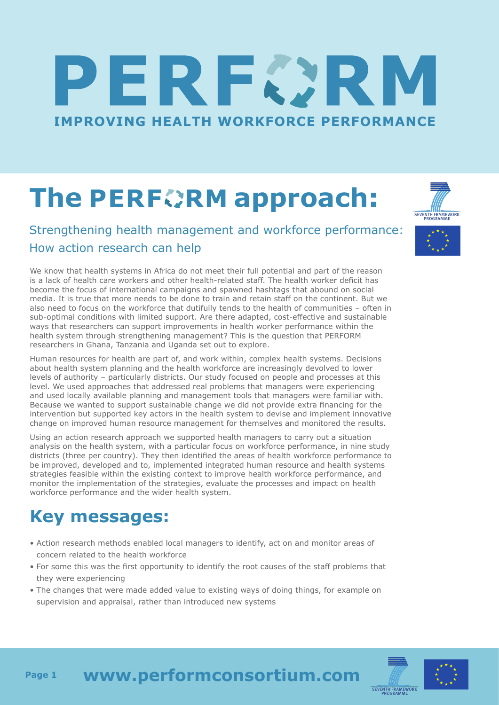# RECI **IMPROVING HEALTH WORKFORCE PERFORMANCE**

## **The PERFORM approach:**

#### Strengthening health management and workforce performance: How action research can help

We know that health systems in Africa do not meet their full potential and part of the reason is a lack of health care workers and other health-related staff. The health worker deficit has become the focus of international campaigns and spawned hashtags that abound on social media. It is true that more needs to be done to train and retain staff on the continent. But we also need to focus on the workforce that dutifully tends to the health of communities – often in sub-optimal conditions with limited support. Are there adapted, cost-effective and sustainable ways that researchers can support improvements in health worker performance within the health system through strengthening management? This is the question that PERFORM researchers in Ghana, Tanzania and Uganda set out to explore.

Human resources for health are part of, and work within, complex health systems. Decisions about health system planning and the health workforce are increasingly devolved to lower levels of authority – particularly districts. Our study focused on people and processes at this level. We used approaches that addressed real problems that managers were experiencing and used locally available planning and management tools that managers were familiar with. Because we wanted to support sustainable change we did not provide extra financing for the intervention but supported key actors in the health system to devise and implement innovative change on improved human resource management for themselves and monitored the results.

Using an action research approach we supported health managers to carry out a situation analysis on the health system, with a particular focus on workforce performance, in nine study districts (three per country). They then identified the areas of health workforce performance to be improved, developed and to, implemented integrated human resource and health systems strategies feasible within the existing context to improve health workforce performance, and monitor the implementation of the strategies, evaluate the processes and impact on health workforce performance and the wider health system.

### **Key messages:**

- Action research methods enabled local managers to identify, act on and monitor areas of concern related to the health workforce
- For some this was the first opportunity to identify the root causes of the staff problems that they were experiencing
- The changes that were made added value to existing ways of doing things, for example on supervision and appraisal, rather than introduced new systems





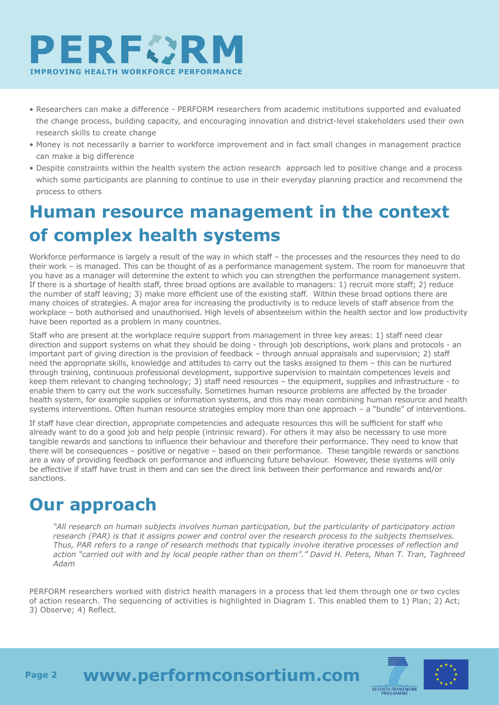

- Researchers can make a difference PERFORM researchers from academic institutions supported and evaluated the change process, building capacity, and encouraging innovation and district-level stakeholders used their own research skills to create change
- Money is not necessarily a barrier to workforce improvement and in fact small changes in management practice can make a big difference
- Despite constraints within the health system the action research approach led to positive change and a process which some participants are planning to continue to use in their everyday planning practice and recommend the process to others

#### **Human resource management in the context of complex health systems**

Workforce performance is largely a result of the way in which staff – the processes and the resources they need to do their work – is managed. This can be thought of as a performance management system. The room for manoeuvre that you have as a manager will determine the extent to which you can strengthen the performance management system. If there is a shortage of health staff, three broad options are available to managers: 1) recruit more staff; 2) reduce the number of staff leaving; 3) make more efficient use of the existing staff. Within these broad options there are many choices of strategies. A major area for increasing the productivity is to reduce levels of staff absence from the workplace – both authorised and unauthorised. High levels of absenteeism within the health sector and low productivity have been reported as a problem in many countries.

Staff who are present at the workplace require support from management in three key areas: 1) staff need clear direction and support systems on what they should be doing - through job descriptions, work plans and protocols - an important part of giving direction is the provision of feedback – through annual appraisals and supervision; 2) staff need the appropriate skills, knowledge and attitudes to carry out the tasks assigned to them – this can be nurtured through training, continuous professional development, supportive supervision to maintain competences levels and keep them relevant to changing technology; 3) staff need resources – the equipment, supplies and infrastructure - to enable them to carry out the work successfully. Sometimes human resource problems are affected by the broader health system, for example supplies or information systems, and this may mean combining human resource and health systems interventions. Often human resource strategies employ more than one approach – a "bundle" of interventions.

If staff have clear direction, appropriate competencies and adequate resources this will be sufficient for staff who already want to do a good job and help people (intrinsic reward). For others it may also be necessary to use more tangible rewards and sanctions to influence their behaviour and therefore their performance. They need to know that there will be consequences – positive or negative – based on their performance. These tangible rewards or sanctions are a way of providing feedback on performance and influencing future behaviour. However, these systems will only be effective if staff have trust in them and can see the direct link between their performance and rewards and/or sanctions.

#### **Our approach**

 *"All research on human subjects involves human participation, but the particularity of participatory action research (PAR) is that it assigns power and control over the research process to the subjects themselves. Thus, PAR refers to a range of research methods that typically involve iterative processes of reflection and action "carried out with and by local people rather than on them"." David H. Peters, Nhan T. Tran, Taghreed Adam*

PERFORM researchers worked with district health managers in a process that led them through one or two cycles of action research. The sequencing of activities is highlighted in Diagram 1. This enabled them to 1) Plan; 2) Act; 3) Observe; 4) Reflect.





**www.performconsortium.com Page 2**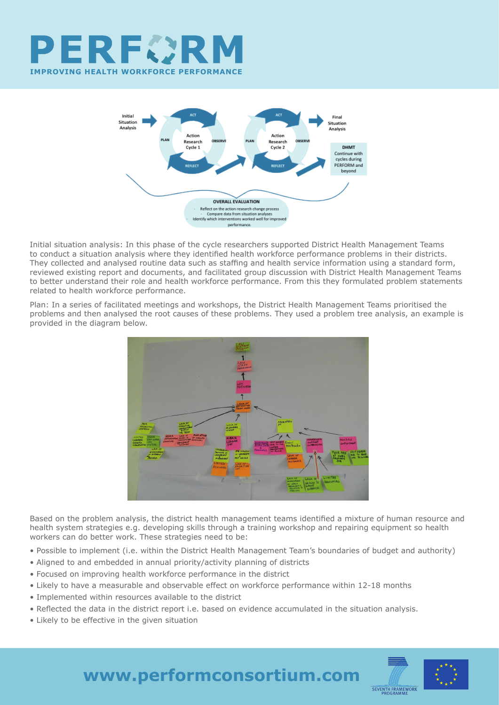



Initial situation analysis: In this phase of the cycle researchers supported District Health Management Teams to conduct a situation analysis where they identified health workforce performance problems in their districts. They collected and analysed routine data such as staffing and health service information using a standard form, reviewed existing report and documents, and facilitated group discussion with District Health Management Teams to better understand their role and health workforce performance. From this they formulated problem statements related to health workforce performance.

Plan: In a series of facilitated meetings and workshops, the District Health Management Teams prioritised the problems and then analysed the root causes of these problems. They used a problem tree analysis, an example is provided in the diagram below.



Based on the problem analysis, the district health management teams identified a mixture of human resource and health system strategies e.g. developing skills through a training workshop and repairing equipment so health workers can do better work. These strategies need to be:

- Possible to implement (i.e. within the District Health Management Team's boundaries of budget and authority)
- Aligned to and embedded in annual priority/activity planning of districts
- Focused on improving health workforce performance in the district
- Likely to have a measurable and observable effect on workforce performance within 12-18 months
- Implemented within resources available to the district
- Reflected the data in the district report i.e. based on evidence accumulated in the situation analysis.
- Likely to be effective in the given situation



**www.performconsortium.com**